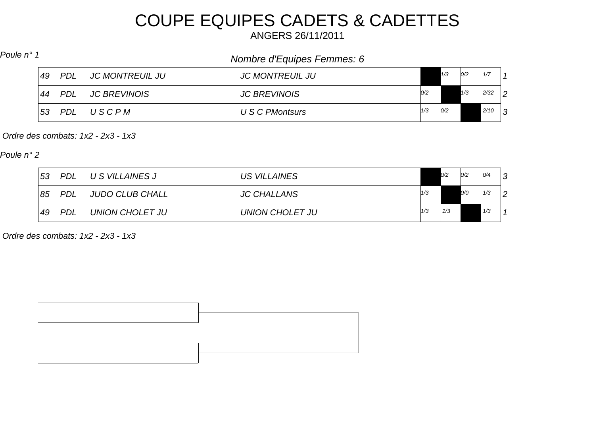# COUPE EQUIPES CADETS & CADETTES

ANGERS 26/11/2011

## *Nombre d'Equipes Femmes: 6 Poule n° 1*

| 49 | <b>PDL</b> | JC MONTREUIL JU     | <b>JC MONTREUIL JU</b> |     | 1/3 | 0/2 | 1/7  |                |
|----|------------|---------------------|------------------------|-----|-----|-----|------|----------------|
| 44 | <b>PDL</b> | <b>JC BREVINOIS</b> | <b>JC BREVINOIS</b>    | 0/2 |     | 1/3 | 2/32 | $\overline{2}$ |
| 53 | <b>PDL</b> | USCPM               | U S C PMontsurs        | 1/3 | 0/2 |     | 2/10 | $\sim$         |

*Ordre des combats: 1x2 - 2x3 - 1x3*

*Poule n° 2*

| $-53$ | <b>PDL</b> | U S VILLAINES J | US VILLAINES       |     | O/2 | 0/2 | 0/4 |                |
|-------|------------|-----------------|--------------------|-----|-----|-----|-----|----------------|
| 85    | <b>PDL</b> | JUDO CLUB CHALL | <b>JC CHALLANS</b> | 1/3 |     | O/O | 1/3 | $\overline{2}$ |
| 49    | <b>PDL</b> | UNION CHOLET JU | UNION CHOLET JU    | 1/3 | 1/3 |     | 1/3 |                |

*Ordre des combats: 1x2 - 2x3 - 1x3*

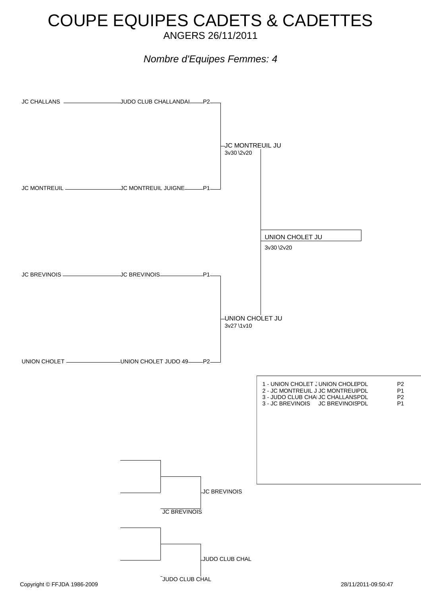#### COUPE EQUIPES CADETS & CADETTES ANGERS 26/11/2011

#### *Nombre d'Equipes Femmes: 4*